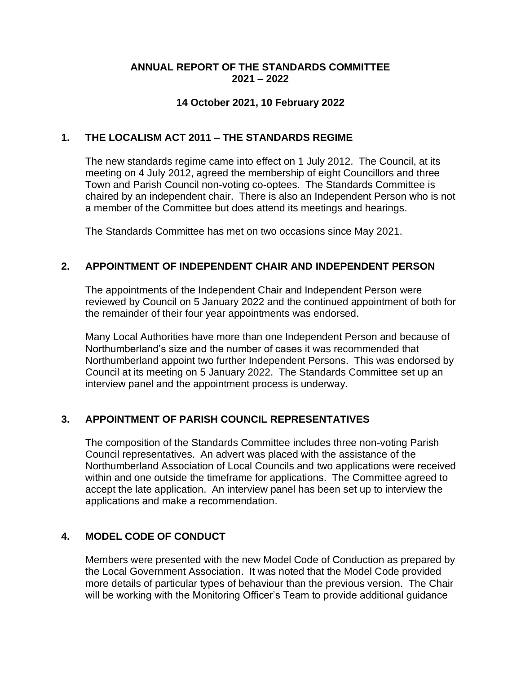#### **ANNUAL REPORT OF THE STANDARDS COMMITTEE 2021 – 2022**

#### **14 October 2021, 10 February 2022**

#### **1. THE LOCALISM ACT 2011 – THE STANDARDS REGIME**

The new standards regime came into effect on 1 July 2012. The Council, at its meeting on 4 July 2012, agreed the membership of eight Councillors and three Town and Parish Council non-voting co-optees. The Standards Committee is chaired by an independent chair. There is also an Independent Person who is not a member of the Committee but does attend its meetings and hearings.

The Standards Committee has met on two occasions since May 2021.

#### **2. APPOINTMENT OF INDEPENDENT CHAIR AND INDEPENDENT PERSON**

The appointments of the Independent Chair and Independent Person were reviewed by Council on 5 January 2022 and the continued appointment of both for the remainder of their four year appointments was endorsed.

Many Local Authorities have more than one Independent Person and because of Northumberland's size and the number of cases it was recommended that Northumberland appoint two further Independent Persons. This was endorsed by Council at its meeting on 5 January 2022. The Standards Committee set up an interview panel and the appointment process is underway.

## **3. APPOINTMENT OF PARISH COUNCIL REPRESENTATIVES**

The composition of the Standards Committee includes three non-voting Parish Council representatives. An advert was placed with the assistance of the Northumberland Association of Local Councils and two applications were received within and one outside the timeframe for applications. The Committee agreed to accept the late application. An interview panel has been set up to interview the applications and make a recommendation.

## **4. MODEL CODE OF CONDUCT**

Members were presented with the new Model Code of Conduction as prepared by the Local Government Association. It was noted that the Model Code provided more details of particular types of behaviour than the previous version. The Chair will be working with the Monitoring Officer's Team to provide additional guidance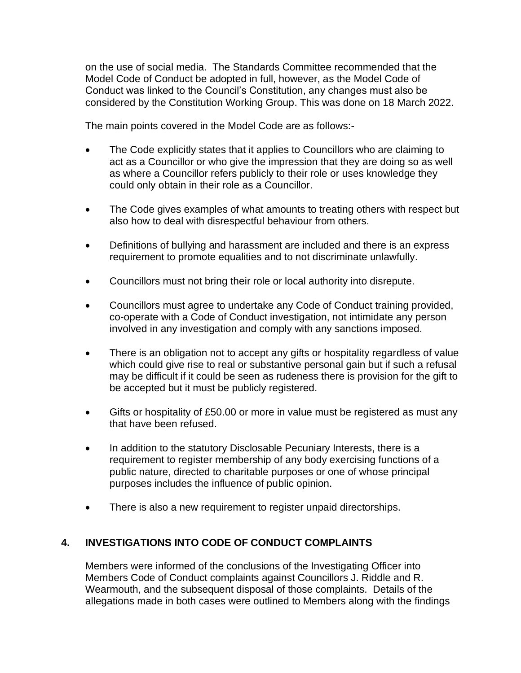on the use of social media. The Standards Committee recommended that the Model Code of Conduct be adopted in full, however, as the Model Code of Conduct was linked to the Council's Constitution, any changes must also be considered by the Constitution Working Group. This was done on 18 March 2022.

The main points covered in the Model Code are as follows:-

- The Code explicitly states that it applies to Councillors who are claiming to act as a Councillor or who give the impression that they are doing so as well as where a Councillor refers publicly to their role or uses knowledge they could only obtain in their role as a Councillor.
- The Code gives examples of what amounts to treating others with respect but also how to deal with disrespectful behaviour from others.
- Definitions of bullying and harassment are included and there is an express requirement to promote equalities and to not discriminate unlawfully.
- Councillors must not bring their role or local authority into disrepute.
- Councillors must agree to undertake any Code of Conduct training provided, co-operate with a Code of Conduct investigation, not intimidate any person involved in any investigation and comply with any sanctions imposed.
- There is an obligation not to accept any gifts or hospitality regardless of value which could give rise to real or substantive personal gain but if such a refusal may be difficult if it could be seen as rudeness there is provision for the gift to be accepted but it must be publicly registered.
- Gifts or hospitality of £50.00 or more in value must be registered as must any that have been refused.
- In addition to the statutory Disclosable Pecuniary Interests, there is a requirement to register membership of any body exercising functions of a public nature, directed to charitable purposes or one of whose principal purposes includes the influence of public opinion.
- There is also a new requirement to register unpaid directorships.

## **4. INVESTIGATIONS INTO CODE OF CONDUCT COMPLAINTS**

Members were informed of the conclusions of the Investigating Officer into Members Code of Conduct complaints against Councillors J. Riddle and R. Wearmouth, and the subsequent disposal of those complaints. Details of the allegations made in both cases were outlined to Members along with the findings